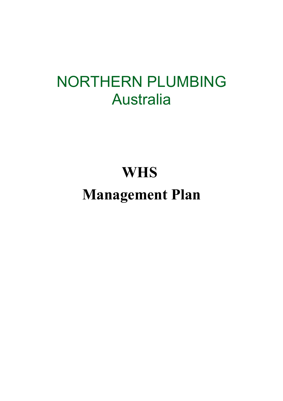## NORTHERN PLUMBING Australia

## **WHS**

# **Management Plan**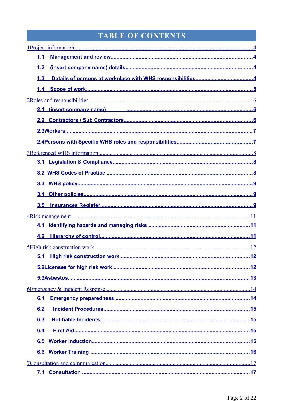## TABLE OF CONTENTS

| 1.1                                                 |
|-----------------------------------------------------|
| 1.2                                                 |
| 1.3                                                 |
|                                                     |
|                                                     |
| 2.1 (insert company name) 2.1 (insert company name) |
|                                                     |
|                                                     |
|                                                     |
|                                                     |
|                                                     |
|                                                     |
|                                                     |
|                                                     |
| 3.5                                                 |
|                                                     |
|                                                     |
| 4.2                                                 |
|                                                     |
|                                                     |
|                                                     |
|                                                     |
|                                                     |
| 6.1                                                 |
| 6.2                                                 |
| 6.3                                                 |
| 6.4                                                 |
| 6.5                                                 |
|                                                     |
|                                                     |
| 7.1                                                 |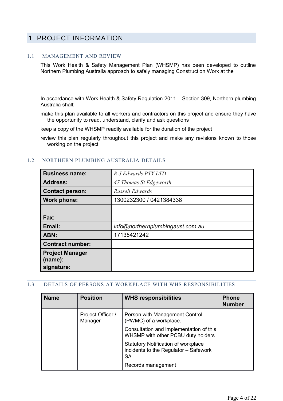## <span id="page-3-0"></span>1 PROJECT INFORMATION

#### <span id="page-3-3"></span>1.1 MANAGEMENT AND REVIEW

This Work Health & Safety Management Plan (WHSMP) has been developed to outline Northern Plumbing Australia approach to safely managing Construction Work at the

In accordance with Work Health & Safety Regulation 2011 – Section 309, Northern plumbing Australia shall:

make this plan available to all workers and contractors on this project and ensure they have the opportunity to read, understand, clarify and ask questions

keep a copy of the WHSMP readily available for the duration of the project

review this plan regularly throughout this project and make any revisions known to those working on the project

| <b>Business name:</b>             | R J Edwards PTY LTD              |  |  |
|-----------------------------------|----------------------------------|--|--|
| <b>Address:</b>                   | 47 Thomas St Edgeworth           |  |  |
| <b>Contact person:</b>            | Russell Edwards                  |  |  |
| Work phone:                       | 1300232300 / 0421384338          |  |  |
|                                   |                                  |  |  |
| Fax:                              |                                  |  |  |
| Email:                            | info@northernplumbingaust.com.au |  |  |
| ABN:                              | 17135421242                      |  |  |
| <b>Contract number:</b>           |                                  |  |  |
| <b>Project Manager</b><br>(name): |                                  |  |  |
| signature:                        |                                  |  |  |

#### <span id="page-3-2"></span>1.2 NORTHERN PLUMBING AUSTRALIA DETAILS

#### <span id="page-3-1"></span>1.3 DETAILS OF PERSONS AT WORKPLACE WITH WHS RESPONSIBILITIES

| <b>Name</b> | <b>Position</b>              | <b>WHS responsibilities</b>                                                                | <b>Phone</b><br><b>Number</b> |
|-------------|------------------------------|--------------------------------------------------------------------------------------------|-------------------------------|
|             | Project Officer /<br>Manager | Person with Management Control<br>(PWMC) of a workplace.                                   |                               |
|             |                              | Consultation and implementation of this<br>WHSMP with other PCBU duty holders              |                               |
|             |                              | <b>Statutory Notification of workplace</b><br>incidents to the Regulator - Safework<br>SA. |                               |
|             |                              | Records management                                                                         |                               |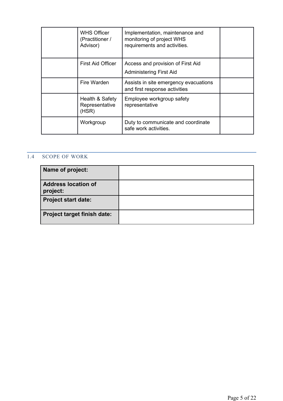| <b>WHS Officer</b><br>(Practitioner /<br>Advisor) | Implementation, maintenance and<br>monitoring of project WHS<br>requirements and activities. |  |
|---------------------------------------------------|----------------------------------------------------------------------------------------------|--|
| First Aid Officer                                 | Access and provision of First Aid<br><b>Administering First Aid</b>                          |  |
| Fire Warden                                       | Assists in site emergency evacuations<br>and first response activities                       |  |
| Health & Safety<br>Representative<br>(HSR)        | Employee workgroup safety<br>representative                                                  |  |
| Workgroup                                         | Duty to communicate and coordinate<br>safe work activities.                                  |  |

## <span id="page-4-0"></span>1.4 SCOPE OF WORK

| Name of project:                       |  |
|----------------------------------------|--|
| <b>Address location of</b><br>project: |  |
| <b>Project start date:</b>             |  |
| <b>Project target finish date:</b>     |  |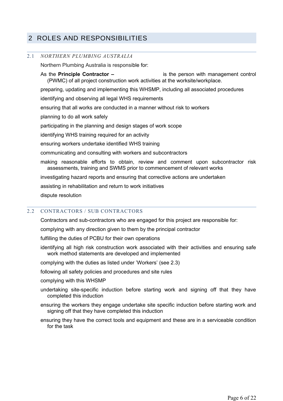## <span id="page-5-2"></span>2 ROLES AND RESPONSIBILITIES

#### <span id="page-5-1"></span>2.1 *NORTHERN PLUMBING AUSTRALIA*

Northern Plumbing Australia is responsible for:

As the **Principle Contractor –**is the person with management control (PWMC) of all project construction work activities at the worksite/workplace. preparing, updating and implementing this WHSMP, including all associated procedures identifying and observing all legal WHS requirements ensuring that all works are conducted in a manner without risk to workers planning to do all work safely participating in the planning and design stages of work scope identifying WHS training required for an activity ensuring workers undertake identified WHS training communicating and consulting with workers and subcontractors making reasonable efforts to obtain, review and comment upon subcontractor risk assessments, training and SWMS prior to commencement of relevant works investigating hazard reports and ensuring that corrective actions are undertaken assisting in rehabilitation and return to work initiatives

dispute resolution

#### <span id="page-5-0"></span>2.2 CONTRACTORS / SUB CONTRACTORS

Contractors and sub-contractors who are engaged for this project are responsible for:

complying with any direction given to them by the principal contractor

fulfilling the duties of PCBU for their own operations

identifying all high risk construction work associated with their activities and ensuring safe work method statements are developed and implemented

complying with the duties as listed under 'Workers' (see 2.3)

following all safety policies and procedures and site rules

complying with this WHSMP

- undertaking site-specific induction before starting work and signing off that they have completed this induction
- ensuring the workers they engage undertake site specific induction before starting work and signing off that they have completed this induction
- ensuring they have the correct tools and equipment and these are in a serviceable condition for the task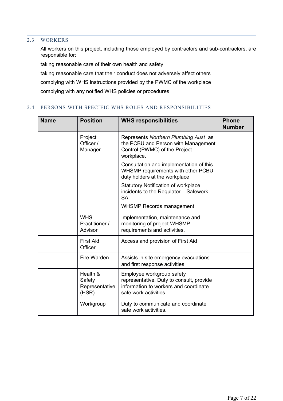#### 2.3 WORKERS

<span id="page-6-1"></span>All workers on this project, including those employed by contractors and sub-contractors, are responsible for:

taking reasonable care of their own health and safety taking reasonable care that their conduct does not adversely affect others complying with WHS instructions provided by the PWMC of the workplace complying with any notified WHS policies or procedures

#### 2.4 PERSONS WITH SPECIFIC WHS ROLES AND RESPONSIBILITIES

<span id="page-6-0"></span>

| <b>Name</b> | <b>Position</b>                               | <b>WHS responsibilities</b>                                                                                                             | <b>Phone</b><br><b>Number</b> |
|-------------|-----------------------------------------------|-----------------------------------------------------------------------------------------------------------------------------------------|-------------------------------|
|             | Project<br>Officer /<br>Manager               | Represents Northern Plumbing Aust as<br>the PCBU and Person with Management<br>Control (PWMC) of the Project<br>workplace.              |                               |
|             |                                               | Consultation and implementation of this<br>WHSMP requirements with other PCBU<br>duty holders at the workplace                          |                               |
|             |                                               | Statutory Notification of workplace<br>incidents to the Regulator - Safework<br>SA.                                                     |                               |
|             |                                               | <b>WHSMP Records management</b>                                                                                                         |                               |
|             | <b>WHS</b><br>Practitioner /<br>Advisor       | Implementation, maintenance and<br>monitoring of project WHSMP<br>requirements and activities.                                          |                               |
|             | <b>First Aid</b><br>Officer                   | Access and provision of First Aid                                                                                                       |                               |
|             | Fire Warden                                   | Assists in site emergency evacuations<br>and first response activities                                                                  |                               |
|             | Health &<br>Safety<br>Representative<br>(HSR) | Employee workgroup safety<br>representative. Duty to consult, provide<br>information to workers and coordinate<br>safe work activities. |                               |
|             | Workgroup                                     | Duty to communicate and coordinate<br>safe work activities.                                                                             |                               |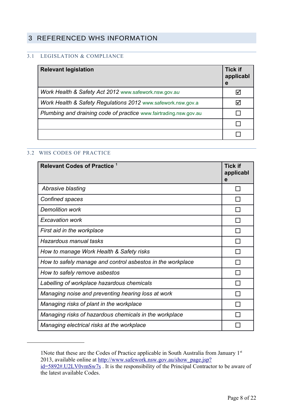## <span id="page-7-2"></span>3 REFERENCED WHS INFORMATION

### <span id="page-7-1"></span>3.1 LEGISLATION & COMPLIANCE

| <b>Relevant legislation</b>                                       | <b>Tick if</b><br>applicabl<br>е |
|-------------------------------------------------------------------|----------------------------------|
| Work Health & Safety Act 2012 www.safework.nsw.gov.au             |                                  |
| Work Health & Safety Regulations 2012 www.safework.nsw.gov.a      |                                  |
| Plumbing and draining code of practice www.fairtrading.nsw.gov.au |                                  |
|                                                                   |                                  |
|                                                                   |                                  |

#### <span id="page-7-0"></span>3.2 WHS CODES OF PRACTICE

| Relevant Codes of Practice <sup>1</sup>                    | <b>Tick if</b><br>applicabl<br>e |
|------------------------------------------------------------|----------------------------------|
| Abrasive blasting                                          |                                  |
| Confined spaces                                            |                                  |
| <b>Demolition work</b>                                     |                                  |
| <b>Excavation work</b>                                     |                                  |
| First aid in the workplace                                 |                                  |
| Hazardous manual tasks                                     |                                  |
| How to manage Work Health & Safety risks                   |                                  |
| How to safely manage and control asbestos in the workplace |                                  |
| How to safely remove asbestos                              |                                  |
| Labelling of workplace hazardous chemicals                 |                                  |
| Managing noise and preventing hearing loss at work         |                                  |
| Managing risks of plant in the workplace                   |                                  |
| Managing risks of hazardous chemicals in the workplace     |                                  |
| Managing electrical risks at the workplace                 |                                  |

<span id="page-7-4"></span><sup>1</sup>Note that these are the Codes of Practice applicable in South Australia from January 1st 2013, available online at [http://www.safework.nsw.gov.au/show\\_page.jsp?](#page-7-3)

<span id="page-7-3"></span>[id=5892#.U2LV0vmSw7s](#page-7-3) . It is the responsibility of the Principal Contractor to be aware of the latest available Codes.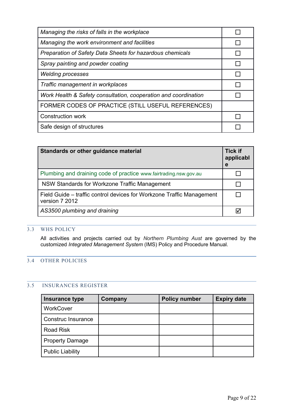| Managing the risks of falls in the workplace                    |  |
|-----------------------------------------------------------------|--|
| Managing the work environment and facilities                    |  |
| Preparation of Safety Data Sheets for hazardous chemicals       |  |
| Spray painting and powder coating                               |  |
| <b>Welding processes</b>                                        |  |
| Traffic management in workplaces                                |  |
| Work Health & Safety consultation, cooperation and coordination |  |
| FORMER CODES OF PRACTICE (STILL USEFUL REFERENCES)              |  |
| <b>Construction work</b>                                        |  |
| Safe design of structures                                       |  |

| Standards or other guidance material                                                    | <b>Tick if</b><br>applicabl<br>е |
|-----------------------------------------------------------------------------------------|----------------------------------|
| Plumbing and draining code of practice www.fairtrading.nsw.gov.au                       |                                  |
| NSW Standards for Workzone Traffic Management                                           |                                  |
| Field Guide – traffic control devices for Workzone Traffic Management<br>version 7 2012 |                                  |
| AS3500 plumbing and draining                                                            |                                  |

#### <span id="page-8-2"></span>3.3 WHS POLICY

All activities and projects carried out by *Northern Plumbing Aust* are governed by the customized *Integrated Management System* (IMS) Policy and Procedure Manual.

### <span id="page-8-1"></span>3.4 OTHER POLICIES

#### <span id="page-8-0"></span>3.5 INSURANCES REGISTER

| Insurance type          | Company | <b>Policy number</b> | <b>Expiry date</b> |
|-------------------------|---------|----------------------|--------------------|
| WorkCover               |         |                      |                    |
| Construc Insurance      |         |                      |                    |
| <b>Road Risk</b>        |         |                      |                    |
| <b>Property Damage</b>  |         |                      |                    |
| <b>Public Liability</b> |         |                      |                    |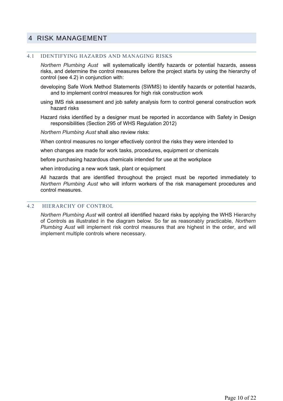### <span id="page-9-2"></span>4 RISK MANAGEMENT

#### <span id="page-9-1"></span>4.1 IDENTIFYING HAZARDS AND MANAGING RISKS

*Northern Plumbing Aust* will systematically identify hazards or potential hazards, assess risks, and determine the control measures before the project starts by using the hierarchy of control (see 4.2) in conjunction with:

developing Safe Work Method Statements (SWMS) to identify hazards or potential hazards, and to implement control measures for high risk construction work

using IMS risk assessment and job safety analysis form to control general construction work hazard risks

Hazard risks identified by a designer must be reported in accordance with Safety in Design responsibilities (Section 295 of WHS Regulation 2012)

*Northern Plumbing Aust* shall also review risks:

When control measures no longer effectively control the risks they were intended to

when changes are made for work tasks, procedures, equipment or chemicals

before purchasing hazardous chemicals intended for use at the workplace

when introducing a new work task, plant or equipment

All hazards that are identified throughout the project must be reported immediately to *Northern Plumbing Aust* who will inform workers of the risk management procedures and control measures.

#### <span id="page-9-0"></span>4.2 HIERARCHY OF CONTROL

*Northern Plumbing Aust* will control all identified hazard risks by applying the WHS Hierarchy of Controls as illustrated in the diagram below. So far as reasonably practicable, *Northern Plumbing Aust* will implement risk control measures that are highest in the order, and will implement multiple controls where necessary.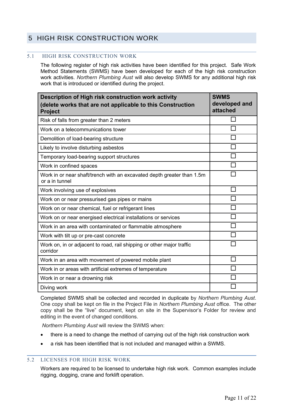## <span id="page-10-2"></span>5 HIGH RISK CONSTRUCTION WORK

#### <span id="page-10-1"></span>5.1 HIGH RISK CONSTRUCTION WORK

The following register of high risk activities have been identified for this project. Safe Work Method Statements (SWMS) have been developed for each of the high risk construction work activities. *Northern Plumbing Aust* will also develop SWMS for any additional high risk work that is introduced or identified during the project.

| Description of High risk construction work activity<br>(delete works that are not applicable to this Construction<br><b>Project</b> | <b>SWMS</b><br>developed and<br>attached |
|-------------------------------------------------------------------------------------------------------------------------------------|------------------------------------------|
| Risk of falls from greater than 2 meters                                                                                            |                                          |
| Work on a telecommunications tower                                                                                                  |                                          |
| Demolition of load-bearing structure                                                                                                |                                          |
| Likely to involve disturbing asbestos                                                                                               |                                          |
| Temporary load-bearing support structures                                                                                           |                                          |
| Work in confined spaces                                                                                                             |                                          |
| Work in or near shaft/trench with an excavated depth greater than 1.5m<br>or a in tunnel                                            |                                          |
| Work involving use of explosives                                                                                                    | $\Box$                                   |
| Work on or near pressurised gas pipes or mains                                                                                      |                                          |
| Work on or near chemical, fuel or refrigerant lines                                                                                 |                                          |
| Work on or near energised electrical installations or services                                                                      |                                          |
| Work in an area with contaminated or flammable atmosphere                                                                           |                                          |
| Work with tilt up or pre-cast concrete                                                                                              |                                          |
| Work on, in or adjacent to road, rail shipping or other major traffic<br>corridor                                                   |                                          |
| Work in an area with movement of powered mobile plant                                                                               |                                          |
| Work in or areas with artificial extremes of temperature                                                                            |                                          |
| Work in or near a drowning risk                                                                                                     |                                          |
| Diving work                                                                                                                         |                                          |

Completed SWMS shall be collected and recorded in duplicate by *Northern Plumbing Aust*. One copy shall be kept on file in the Project File in *Northern Plumbing Aust* office. The other copy shall be the "live" document, kept on site in the Supervisor's Folder for review and editing in the event of changed conditions.

 *Northern Plumbing Aust* will review the SWMS when:

- there is a need to change the method of carrying out of the high risk construction work
- a risk has been identified that is not included and managed within a SWMS.

#### 5.2 LICENSES FOR HIGH RISK WORK

<span id="page-10-0"></span>Workers are required to be licensed to undertake high risk work. Common examples include rigging, dogging, crane and forklift operation.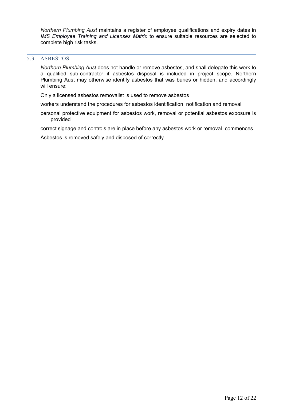*Northern Plumbing Aust* maintains a register of employee qualifications and expiry dates in *IMS Employee Training and Licenses Matrix* to ensure suitable resources are selected to complete high risk tasks.

#### 5.3 ASBESTOS

<span id="page-11-0"></span>*Northern Plumbing Aust* does not handle or remove asbestos, and shall delegate this work to a qualified sub-contractor if asbestos disposal is included in project scope. Northern Plumbing Aust may otherwise identify asbestos that was buries or hidden, and accordingly will ensure:

Only a licensed asbestos removalist is used to remove asbestos

workers understand the procedures for asbestos identification, notification and removal

personal protective equipment for asbestos work, removal or potential asbestos exposure is provided

correct signage and controls are in place before any asbestos work or removal commences

Asbestos is removed safely and disposed of correctly.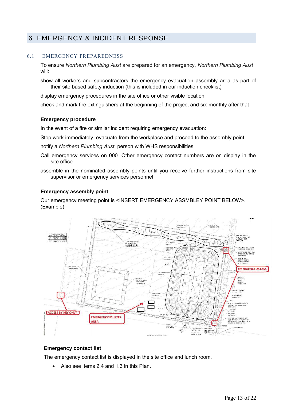## <span id="page-12-1"></span>6 EMERGENCY & INCIDENT RESPONSE

#### <span id="page-12-0"></span>6.1 EMERGENCY PREPAREDNESS

To ensure *Northern Plumbing Aust* are prepared for an emergency, *Northern Plumbing Aust*  will:

show all workers and subcontractors the emergency evacuation assembly area as part of their site based safety induction (this is included in our induction checklist)

display emergency procedures in the site office or other visible location

check and mark fire extinguishers at the beginning of the project and six-monthly after that

#### **Emergency procedure**

In the event of a fire or similar incident requiring emergency evacuation:

Stop work immediately, evacuate from the workplace and proceed to the assembly point.

notify a *Northern Plumbing Aust* person with WHS responsibilities

- Call emergency services on 000. Other emergency contact numbers are on display in the site office
- assemble in the nominated assembly points until you receive further instructions from site supervisor or emergency services personnel

#### **Emergency assembly point**

Our emergency meeting point is <INSERT EMERGENCY ASSMBLEY POINT BELOW>. (Example)



#### **Emergency contact list**

The emergency contact list is displayed in the site office and lunch room.

Also see items 2.4 and 1.3 in this Plan.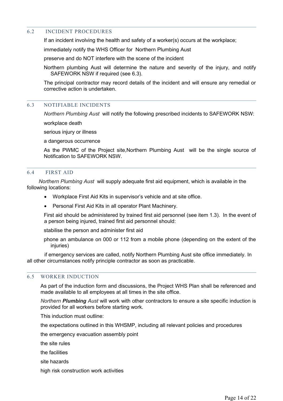#### <span id="page-13-3"></span>6.2 INCIDENT PROCEDURES

If an incident involving the health and safety of a worker(s) occurs at the workplace;

immediately notify the WHS Officer for Northern Plumbing Aust

preserve and do NOT interfere with the scene of the incident

Northern plumbing Aust will determine the nature and severity of the injury, and notify SAFEWORK NSW if required (see 6.3).

The principal contractor may record details of the incident and will ensure any remedial or corrective action is undertaken.

#### <span id="page-13-2"></span>6.3 NOTIFIABLE INCIDENTS

*Northern Plumbing Aust* will notify the following prescribed incidents to SAFEWORK NSW:

workplace death

serious injury or illness

a dangerous occurrence

As the PWMC of the Project site,Northern Plumbing Aust will be the single source of Notification to SAFEWORK NSW.

#### <span id="page-13-1"></span>6.4 FIRST AID

 *Northern Plumbing Aust* will supply adequate first aid equipment, which is available in the following locations:

- Workplace First Aid Kits in supervisor's vehicle and at site office.
- Personal First Aid Kits in all operator Plant Machinery.

First aid should be administered by trained first aid personnel (see item 1.3). In the event of a person being injured, trained first aid personnel should:

stabilise the person and administer first aid

phone an ambulance on 000 or 112 from a mobile phone (depending on the extent of the injuries)

 if emergency services are called, notify Northern Plumbing Aust site office immediately. In all other circumstances notify principle contractor as soon as practicable.

#### <span id="page-13-0"></span>6.5 WORKER INDUCTION

As part of the induction form and discussions, the Project WHS Plan shall be referenced and made available to all employees at all times in the site office.

*Northern Plumbing Aust* will work with other contractors to ensure a site specific induction is provided for all workers before starting work.

This induction must outline:

the expectations outlined in this WHSMP, including all relevant policies and procedures

the emergency evacuation assembly point

the site rules

the facilities

site hazards

high risk construction work activities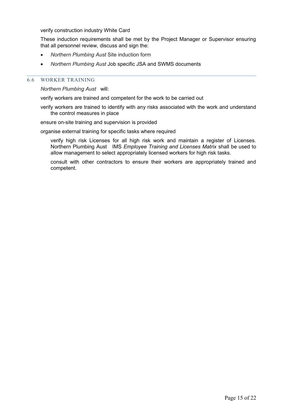verify construction industry White Card

These induction requirements shall be met by the Project Manager or Supervisor ensuring that all personnel review, discuss and sign the:

- *Northern Plumbing Aust* Site induction form
- *Northern Plumbing Aust* Job specific JSA and SWMS documents

#### <span id="page-14-0"></span>6.6 WORKER TRAINING

*Northern Plumbing Aust* will:

verify workers are trained and competent for the work to be carried out

verify workers are trained to identify with any risks associated with the work and understand the control measures in place

ensure on-site training and supervision is provided

organise external training for specific tasks where required

verify high risk Licenses for all high risk work and maintain a register of Licenses. Northern Plumbing Aust IMS *Employee Training and Licenses Matrix* shall be used to allow management to select appropriately licensed workers for high risk tasks.

consult with other contractors to ensure their workers are appropriately trained and competent.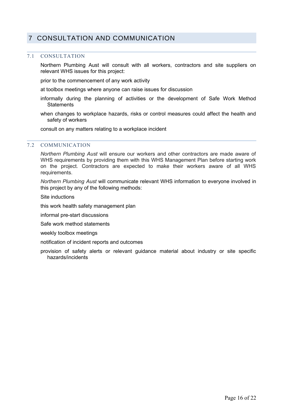## <span id="page-15-1"></span>7 CONSULTATION AND COMMUNICATION

#### <span id="page-15-0"></span>7.1 CONSULTATION

Northern Plumbing Aust will consult with all workers, contractors and site suppliers on relevant WHS issues for this project:

prior to the commencement of any work activity

at toolbox meetings where anyone can raise issues for discussion

- informally during the planning of activities or the development of Safe Work Method **Statements**
- when changes to workplace hazards, risks or control measures could affect the health and safety of workers

consult on any matters relating to a workplace incident

#### <span id="page-15-2"></span>7.2 COMMUNICATION

*Northern Plumbing Aust* will ensure our workers and other contractors are made aware of WHS requirements by providing them with this WHS Management Plan before starting work on the project. Contractors are expected to make their workers aware of all WHS requirements.

*Northern Plumbing Aust* will communicate relevant WHS information to everyone involved in this project by any of the following methods:

Site inductions

this work health safety management plan

- informal pre-start discussions
- Safe work method statements

weekly toolbox meetings

notification of incident reports and outcomes

provision of safety alerts or relevant guidance material about industry or site specific hazards/incidents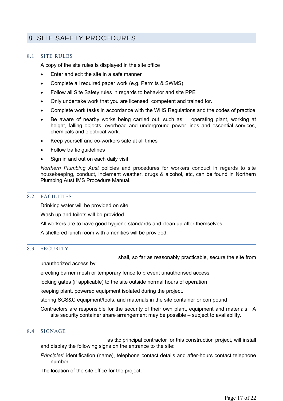## <span id="page-16-4"></span>8 SITE SAFETY PROCEDURES

#### <span id="page-16-3"></span>8.1 SITE RULES

A copy of the site rules is displayed in the site office

- Enter and exit the site in a safe manner
- Complete all required paper work (e.g. Permits & SWMS)
- Follow all Site Safety rules in regards to behavior and site PPE
- Only undertake work that you are licensed, competent and trained for.
- Complete work tasks in accordance with the WHS Regulations and the codes of practice
- Be aware of nearby works being carried out, such as; operating plant, working at height, falling objects, overhead and underground power lines and essential services, chemicals and electrical work.
- Keep yourself and co-workers safe at all times
- Follow traffic guidelines
- Sign in and out on each daily visit

*Northern Plumbing Aust* policies and procedures for workers conduct in regards to site housekeeping, conduct, inclement weather, drugs & alcohol, etc, can be found in Northern Plumbing Aust IMS Procedure Manual.

#### <span id="page-16-2"></span>8.2 FACILITIES

Drinking water will be provided on site.

Wash up and toilets will be provided

All workers are to have good hygiene standards and clean up after themselves.

A sheltered lunch room with amenities will be provided.

#### <span id="page-16-1"></span>8.3 SECURITY

shall, so far as reasonably practicable, secure the site from

unauthorized access by:

erecting barrier mesh or temporary fence to prevent unauthorised access

locking gates (if applicable) to the site outside normal hours of operation

keeping plant, powered equipment isolated during the project.

storing SCS&C equipment/tools, and materials in the site container or compound

Contractors are responsible for the security of their own plant, equipment and materials. A site security container share arrangement may be possible – subject to availability.

#### <span id="page-16-0"></span>8.4 SIGNAGE

as the principal contractor for this construction project, will install and display the following signs on the entrance to the site:

*Principle*s' identification (name), telephone contact details and after-hours contact telephone number

The location of the site office for the project.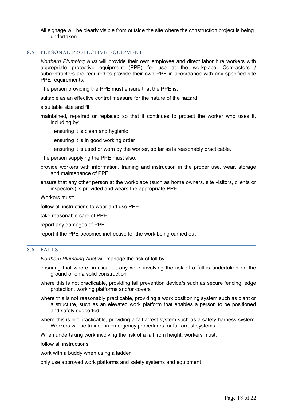All signage will be clearly visible from outside the site where the construction project is being undertaken.

#### <span id="page-17-1"></span>8.5 PERSONAL PROTECTIVE EQUIPMENT

*Northern Plumbing Aust* will provide their own employee and direct labor hire workers with appropriate protective equipment (PPE) for use at the workplace. Contractors / subcontractors are required to provide their own PPE in accordance with any specified site PPE requirements.

The person providing the PPE must ensure that the PPE is:

suitable as an effective control measure for the nature of the hazard

a suitable size and fit

maintained, repaired or replaced so that it continues to protect the worker who uses it, including by:

ensuring it is clean and hygienic

ensuring it is in good working order

ensuring it is used or worn by the worker, so far as is reasonably practicable.

The person supplying the PPE must also:

provide workers with information, training and instruction in the proper use, wear, storage and maintenance of PPE

ensure that any other person at the workplace (such as home owners, site visitors, clients or inspectors) is provided and wears the appropriate PPE.

Workers must:

follow all instructions to wear and use PPE

take reasonable care of PPE

report any damages of PPE

report if the PPE becomes ineffective for the work being carried out

#### <span id="page-17-0"></span>8.6FALLS

*Northern Plumbing Aust* will manage the risk of fall by:

ensuring that where practicable, any work involving the risk of a fall is undertaken on the ground or on a solid construction

where this is not practicable, providing fall prevention device/s such as secure fencing, edge protection, working platforms and/or covers

where this is not reasonably practicable, providing a work positioning system such as plant or a structure, such as an elevated work platform that enables a person to be positioned and safely supported,

where this is not practicable, providing a fall arrest system such as a safety harness system. Workers will be trained in emergency procedures for fall arrest systems

When undertaking work involving the risk of a fall from height, workers must:

follow all instructions

work with a buddy when using a ladder

only use approved work platforms and safety systems and equipment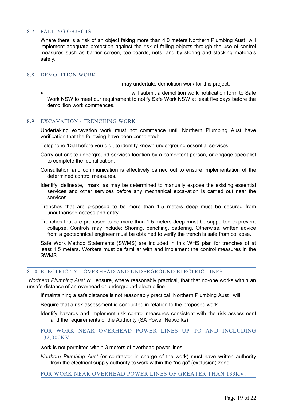#### <span id="page-18-3"></span>8.7 FALLING OBJECTS

Where there is a risk of an object faking more than 4.0 meters,Northern Plumbing Aust will implement adequate protection against the risk of falling objects through the use of control measures such as barrier screen, toe-boards, nets, and by storing and stacking materials safely.

#### <span id="page-18-2"></span>8.8 DEMOLITION WORK

may undertake demolition work for this project.

will submit a demolition work notification form to Safe Work NSW to meet our requirement to notify Safe Work NSW at least five days before the demolition work commences.

#### <span id="page-18-1"></span>8.9 EXCAVATION / TRENCHING WORK

Undertaking excavation work must not commence until Northern Plumbing Aust have verification that the following have been completed:

Telephone 'Dial before you dig', to identify known underground essential services.

Carry out onsite underground services location by a competent person, or engage specialist to complete the identification.

Consultation and communication is effectively carried out to ensure implementation of the determined control measures.

Identify, delineate, mark, as may be determined to manually expose the existing essential services and other services before any mechanical excavation is carried out near the services

Trenches that are proposed to be more than 1.5 meters deep must be secured from unauthorised access and entry.

Trenches that are proposed to be more than 1.5 meters deep must be supported to prevent collapse, Controls may include; Shoring, benching, battering. Otherwise, written advice from a geotechnical engineer must be obtained to verify the trench is safe from collapse.

Safe Work Method Statements (SWMS) are included in this WHS plan for trenches of at least 1.5 meters. Workers must be familiar with and implement the control measures in the SWMS.

#### <span id="page-18-0"></span>8.10 ELECTRICITY - OVERHEAD AND UNDERGROUND ELECTRIC LINES

*Northern Plumbing Aust* will ensure, where reasonably practical, that that no-one works within an unsafe distance of an overhead or underground electric line.

If maintaining a safe distance is not reasonably practical, Northern Plumbing Aust will:

Require that a risk assessment id conducted in relation to the proposed work.

Identify hazards and implement risk control measures consistent with the risk assessment and the requirements of the Authority (SA Power Networks)

#### FOR WORK NEAR OVERHEAD POWER LINES UP TO AND INCLUDING 132,000KV:

work is not permitted within 3 meters of overhead power lines

*Northern Plumbing Aust* (or contractor in charge of the work) must have written authority from the electrical supply authority to work within the "no go" (exclusion) zone

FOR WORK NEAR OVERHEAD POWER LINES OF GREATER THAN 133KV: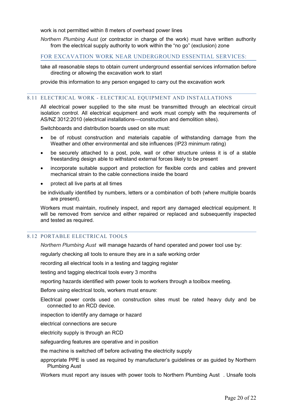work is not permitted within 8 meters of overhead power lines

*Northern Plumbing Aust* (or contractor in charge of the work) must have written authority from the electrical supply authority to work within the "no go" (exclusion) zone

#### FOR EXCAVATION WORK NEAR UNDERGROUND ESSENTIAL SERVICES:

take all reasonable steps to obtain current underground essential services information before directing or allowing the excavation work to start

provide this information to any person engaged to carry out the excavation work

#### 8.11 ELECTRICAL WORK - ELECTRICAL EQUIPMENT AND INSTALLATIONS

<span id="page-19-1"></span>All electrical power supplied to the site must be transmitted through an electrical circuit isolation control. All electrical equipment and work must comply with the requirements of AS/NZ 3012:2010 (electrical installations—construction and demolition sites).

Switchboards and distribution boards used on site must:

- be of robust construction and materials capable of withstanding damage from the Weather and other environmental and site influences (IP23 minimum rating)
- be securely attached to a post, pole, wall or other structure unless it is of a stable freestanding design able to withstand external forces likely to be present
- incorporate suitable support and protection for flexible cords and cables and prevent mechanical strain to the cable connections inside the board
- protect all live parts at all times

be individually identified by numbers, letters or a combination of both (where multiple boards are present).

Workers must maintain, routinely inspect, and report any damaged electrical equipment. It will be removed from service and either repaired or replaced and subsequently inspected and tested as required.

#### 8.12 PORTABLE ELECTRICAL TOOLS

<span id="page-19-0"></span>*Northern Plumbing Aust* will manage hazards of hand operated and power tool use by:

regularly checking all tools to ensure they are in a safe working order

recording all electrical tools in a testing and tagging register

testing and tagging electrical tools every 3 months

reporting hazards identified with power tools to workers through a toolbox meeting.

Before using electrical tools, workers must ensure:

- Electrical power cords used on construction sites must be rated heavy duty and be connected to an RCD device.
- inspection to identify any damage or hazard

electrical connections are secure

electricity supply is through an RCD

safeguarding features are operative and in position

the machine is switched off before activating the electricity supply

appropriate PPE is used as required by manufacturer's guidelines or as guided by Northern Plumbing Aust

Workers must report any issues with power tools to Northern Plumbing Aust . Unsafe tools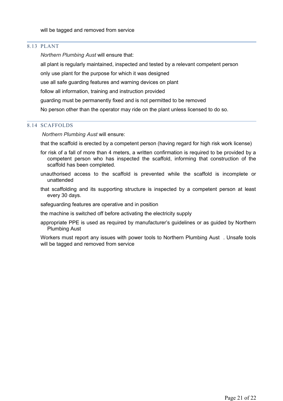#### 8.13 PLANT

<span id="page-20-1"></span>*Northern Plumbing Aust* will ensure that:

all plant is regularly maintained, inspected and tested by a relevant competent person

only use plant for the purpose for which it was designed

use all safe guarding features and warning devices on plant

follow all information, training and instruction provided

guarding must be permanently fixed and is not permitted to be removed

No person other than the operator may ride on the plant unless licensed to do so.

#### 8.14 SCAFFOLDS

<span id="page-20-0"></span>*Northern Plumbing Aust* will ensure:

that the scaffold is erected by a competent person (having regard for high risk work license)

- for risk of a fall of more than 4 meters, a written confirmation is required to be provided by a competent person who has inspected the scaffold, informing that construction of the scaffold has been completed.
- unauthorised access to the scaffold is prevented while the scaffold is incomplete or unattended
- that scaffolding and its supporting structure is inspected by a competent person at least every 30 days.

safeguarding features are operative and in position

the machine is switched off before activating the electricity supply

appropriate PPE is used as required by manufacturer's guidelines or as guided by Northern Plumbing Aust

Workers must report any issues with power tools to Northern Plumbing Aust . Unsafe tools will be tagged and removed from service